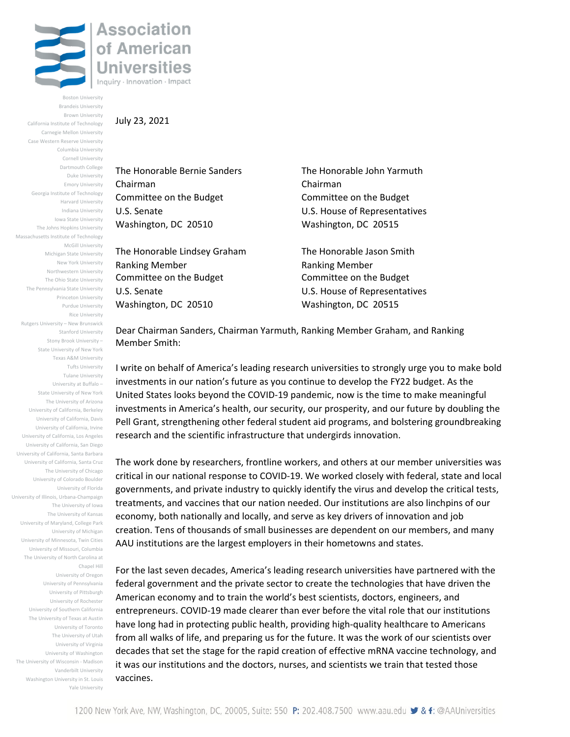

Boston University Brandeis University Brown University California Institute of Technology Carnegie Mellon University Case Western Reserve University Columbia University Cornell University Dartmouth College Duke University Emory University Georgia Institute of Technology Harvard University Indiana University Iowa State University The Johns Hopkins University Massachusetts Institute of Technology McGill University Michigan State University New York University Northwestern University The Ohio State University The Pennsylvania State University Princeton University Purdue University Rice University Rutgers University – New Brunswick Stanford University Stony Brook University – State University of New York Texas A&M University Tufts University Tulane University University at Buffalo – State University of New York The University of Arizona University of California, Berkeley University of California, Davis University of California, Irvine University of California, Los Angeles University of California, San Diego University of California, Santa Barbara University of California, Santa Cruz The University of Chicago University of Colorado Boulder University of Florida University of Illinois, Urbana-Champaign The University of Iowa The University of Kansas University of Maryland, College Park University of Michigan University of Minnesota, Twin Cities University of Missouri, Columbia The University of North Carolina at Chapel Hill University of Oregon

University of Pennsylvania University of Pittsburgh University of Rochester University of Southern California The University of Texas at Austin University of Toronto The University of Utah University of Virginia University of Washington The University of Wisconsin - Madison Vanderbilt University Washington University in St. Louis Yale University

## July 23, 2021

The Honorable Bernie Sanders The Honorable John Yarmuth Chairman Chairman Committee on the Budget Committee on the Budget Washington, DC 20510 Washington, DC 20515

The Honorable Lindsey Graham The Honorable Jason Smith Ranking Member **Ranking Member** Ranking Member Committee on the Budget Committee on the Budget U.S. Senate U.S. House of Representatives Washington, DC 20510 Washington, DC 20515

U.S. Senate U.S. House of Representatives

Dear Chairman Sanders, Chairman Yarmuth, Ranking Member Graham, and Ranking Member Smith:

I write on behalf of America's leading research universities to strongly urge you to make bold investments in our nation's future as you continue to develop the FY22 budget. As the United States looks beyond the COVID-19 pandemic, now is the time to make meaningful investments in America's health, our security, our prosperity, and our future by doubling the Pell Grant, strengthening other federal student aid programs, and bolstering groundbreaking research and the scientific infrastructure that undergirds innovation.

The work done by researchers, frontline workers, and others at our member universities was critical in our national response to COVID-19. We worked closely with federal, state and local governments, and private industry to quickly identify the virus and develop the critical tests, treatments, and vaccines that our nation needed. Our institutions are also linchpins of our economy, both nationally and locally, and serve as key drivers of innovation and job creation. Tens of thousands of small businesses are dependent on our members, and many AAU institutions are the largest employers in their hometowns and states.

For the last seven decades, America's leading research universities have partnered with the federal government and the private sector to create the technologies that have driven the American economy and to train the world's best scientists, doctors, engineers, and entrepreneurs. COVID-19 made clearer than ever before the vital role that our institutions have long had in protecting public health, providing high-quality healthcare to Americans from all walks of life, and preparing us for the future. It was the work of our scientists over decades that set the stage for the rapid creation of effective mRNA vaccine technology, and it was our institutions and the doctors, nurses, and scientists we train that tested those vaccines.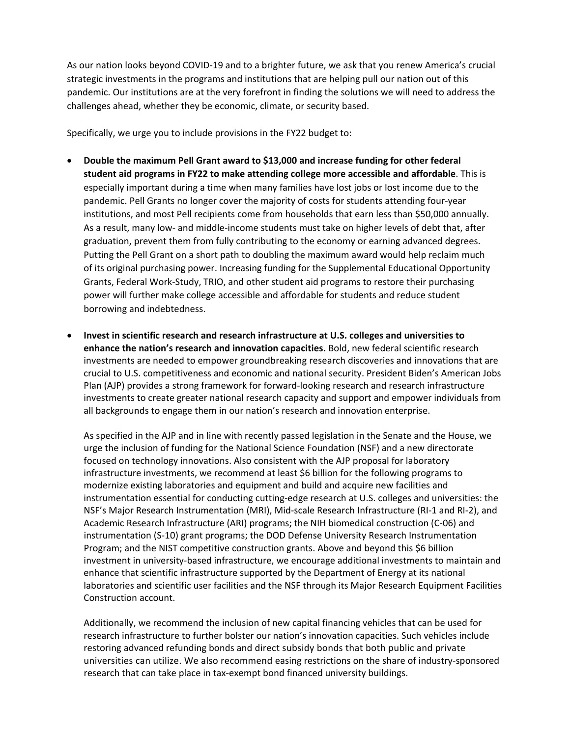As our nation looks beyond COVID-19 and to a brighter future, we ask that you renew America's crucial strategic investments in the programs and institutions that are helping pull our nation out of this pandemic. Our institutions are at the very forefront in finding the solutions we will need to address the challenges ahead, whether they be economic, climate, or security based.

Specifically, we urge you to include provisions in the FY22 budget to:

- **Double the maximum Pell Grant award to \$13,000 and increase funding for other federal student aid programs in FY22 to make attending college more accessible and affordable**. This is especially important during a time when many families have lost jobs or lost income due to the pandemic. Pell Grants no longer cover the majority of costs for students attending four-year institutions, and most Pell recipients come from households that earn less than \$50,000 annually. As a result, many low- and middle-income students must take on higher levels of debt that, after graduation, prevent them from fully contributing to the economy or earning advanced degrees. Putting the Pell Grant on a short path to doubling the maximum award would help reclaim much of its original purchasing power. Increasing funding for the Supplemental Educational Opportunity Grants, Federal Work-Study, TRIO, and other student aid programs to restore their purchasing power will further make college accessible and affordable for students and reduce student borrowing and indebtedness.
- **Invest in scientific research and research infrastructure at U.S. colleges and universities to enhance the nation's research and innovation capacities.** Bold, new federal scientific research investments are needed to empower groundbreaking research discoveries and innovations that are crucial to U.S. competitiveness and economic and national security. President Biden's American Jobs Plan (AJP) provides a strong framework for forward-looking research and research infrastructure investments to create greater national research capacity and support and empower individuals from all backgrounds to engage them in our nation's research and innovation enterprise.

As specified in the AJP and in line with recently passed legislation in the Senate and the House, we urge the inclusion of funding for the National Science Foundation (NSF) and a new directorate focused on technology innovations. Also consistent with the AJP proposal for laboratory infrastructure investments, we recommend at least \$6 billion for the following programs to modernize existing laboratories and equipment and build and acquire new facilities and instrumentation essential for conducting cutting-edge research at U.S. colleges and universities: the NSF's Major Research Instrumentation (MRI), Mid-scale Research Infrastructure (RI-1 and RI-2), and Academic Research Infrastructure (ARI) programs; the NIH biomedical construction (C-06) and instrumentation (S-10) grant programs; the DOD Defense University Research Instrumentation Program; and the NIST competitive construction grants. Above and beyond this \$6 billion investment in university-based infrastructure, we encourage additional investments to maintain and enhance that scientific infrastructure supported by the Department of Energy at its national laboratories and scientific user facilities and the NSF through its Major Research Equipment Facilities Construction account.

Additionally, we recommend the inclusion of new capital financing vehicles that can be used for research infrastructure to further bolster our nation's innovation capacities. Such vehicles include restoring advanced refunding bonds and direct subsidy bonds that both public and private universities can utilize. We also recommend easing restrictions on the share of industry-sponsored research that can take place in tax-exempt bond financed university buildings.